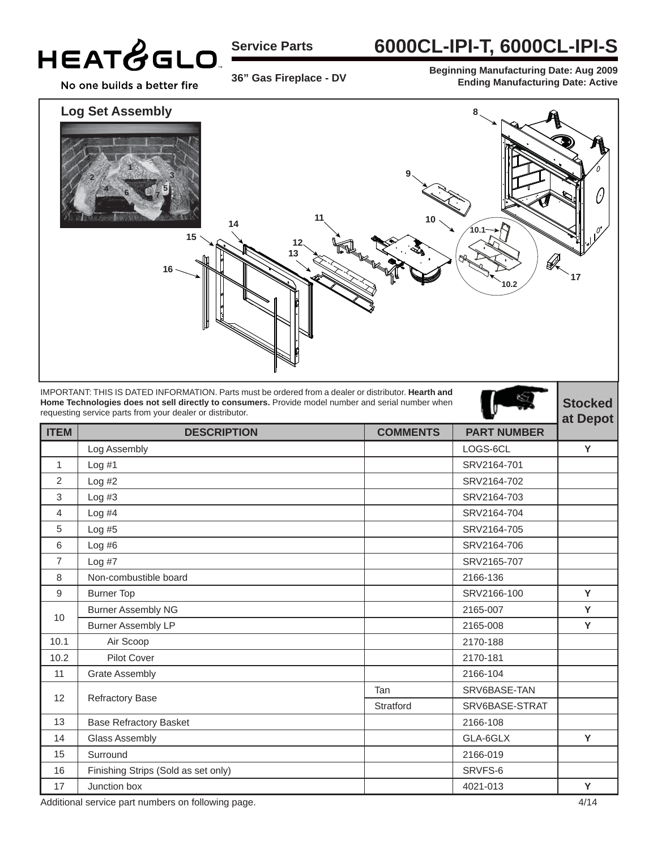

**Service Parts**

### **6000CL-IPI-T, 6000CL-IPI-S**

**36" Gas Fireplace - DV**

**Beginning Manufacturing Date: Aug 2009 Ending Manufacturing Date: Active**



IMPORTANT: THIS IS DATED INFORMATION. Parts must be ordered from a dealer or distributor. **Hearth and Home Technologies does not sell directly to consumers.** Provide model number and serial number when requesting service parts from your dealer or distributor.

|                   | requesting service parts from your dealer or distributor. |                 | ∼                  | at Depot |
|-------------------|-----------------------------------------------------------|-----------------|--------------------|----------|
| <b>ITEM</b>       | <b>DESCRIPTION</b>                                        | <b>COMMENTS</b> | <b>PART NUMBER</b> |          |
|                   | Log Assembly                                              |                 | LOGS-6CL           | Y        |
| $\mathbf{1}$      | Log#1                                                     |                 | SRV2164-701        |          |
| 2                 | Log #2                                                    |                 | SRV2164-702        |          |
| 3                 | Log #3                                                    |                 | SRV2164-703        |          |
| 4                 | Log #4                                                    |                 | SRV2164-704        |          |
| 5                 | Log#5                                                     |                 | SRV2164-705        |          |
| 6                 | Log #6                                                    |                 | SRV2164-706        |          |
| $\overline{7}$    | Log #7                                                    |                 | SRV2165-707        |          |
| 8                 | Non-combustible board                                     |                 | 2166-136           |          |
| 9                 | <b>Burner Top</b>                                         |                 | SRV2166-100        | Y        |
| 10                | <b>Burner Assembly NG</b>                                 |                 | 2165-007           | Y        |
|                   | <b>Burner Assembly LP</b>                                 |                 | 2165-008           | Y        |
| 10.1              | Air Scoop                                                 |                 | 2170-188           |          |
| 10.2              | Pilot Cover                                               |                 | 2170-181           |          |
| 11                | <b>Grate Assembly</b>                                     |                 | 2166-104           |          |
|                   | Refractory Base                                           | Tan             | SRV6BASE-TAN       |          |
| $12 \overline{ }$ |                                                           | Stratford       | SRV6BASE-STRAT     |          |
| 13                | <b>Base Refractory Basket</b>                             |                 | 2166-108           |          |
| 14                | Glass Assembly                                            |                 | GLA-6GLX           | Y        |
| 15                | Surround                                                  |                 | 2166-019           |          |
| 16                | Finishing Strips (Sold as set only)                       |                 | SRVFS-6            |          |
| 17                | Junction box                                              |                 | 4021-013           | Y        |

Additional service part numbers on following page. 4/14

**Stocked**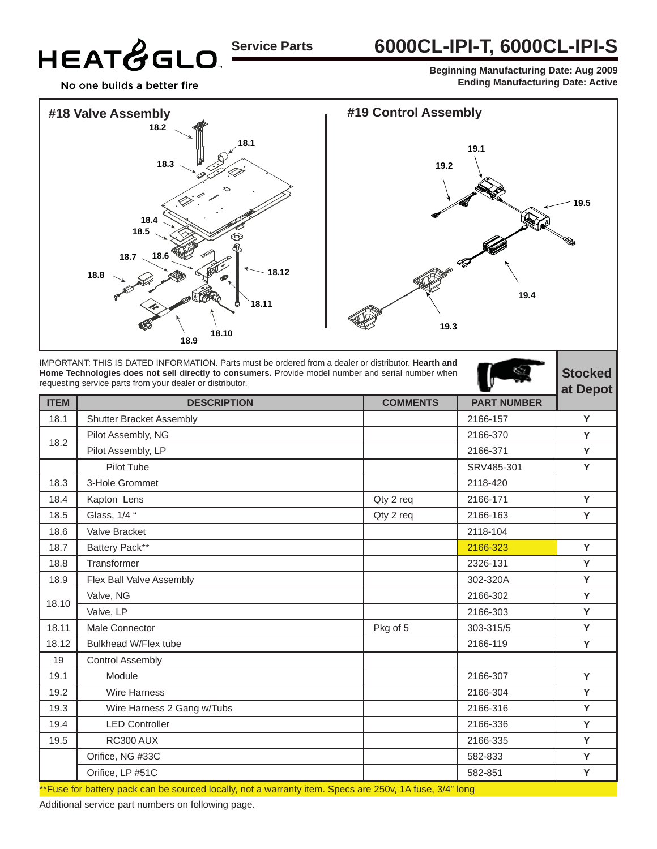# **Service Parts**

#### **6000CL-IPI-T, 6000CL-IPI-S**

**Beginning Manufacturing Date: Aug 2009 Ending Manufacturing Date: Active**

**Stocked** 

No one builds a better fire

HEATGGLO



IMPORTANT: THIS IS DATED INFORMATION. Parts must be ordered from a dealer or distributor. **Hearth and Home Technologies does not sell directly to consumers.** Provide model number and serial number when requesting service parts from your dealer or distributor.

|             | requesting service parts from your dealer or distributor. | ∼               |                    | at Depot |
|-------------|-----------------------------------------------------------|-----------------|--------------------|----------|
| <b>ITEM</b> | <b>DESCRIPTION</b>                                        | <b>COMMENTS</b> | <b>PART NUMBER</b> |          |
| 18.1        | <b>Shutter Bracket Assembly</b>                           |                 | 2166-157           | Y        |
| 18.2        | Pilot Assembly, NG                                        |                 | 2166-370           | Y        |
|             | Pilot Assembly, LP                                        |                 | 2166-371           | Y        |
|             | Pilot Tube                                                |                 | SRV485-301         | Y        |
| 18.3        | 3-Hole Grommet                                            |                 | 2118-420           |          |
| 18.4        | Kapton Lens                                               | Qty 2 req       | 2166-171           | Y        |
| 18.5        | Glass, 1/4 "                                              | Qty 2 req       | 2166-163           | Y        |
| 18.6        | Valve Bracket                                             |                 | 2118-104           |          |
| 18.7        | Battery Pack**                                            |                 | 2166-323           | Y        |
| 18.8        | Transformer                                               |                 | 2326-131           | Y        |
| 18.9        | Flex Ball Valve Assembly                                  |                 | 302-320A           | Y        |
|             | Valve, NG                                                 |                 | 2166-302           | Y        |
| 18.10       | Valve, LP                                                 |                 | 2166-303           | Y        |
| 18.11       | Male Connector                                            | Pkg of 5        | 303-315/5          | Y        |
| 18.12       | Bulkhead W/Flex tube                                      |                 | 2166-119           | Y        |
| 19          | <b>Control Assembly</b>                                   |                 |                    |          |
| 19.1        | Module                                                    |                 | 2166-307           | Y        |
| 19.2        | <b>Wire Harness</b>                                       |                 | 2166-304           | Y        |
| 19.3        | Wire Harness 2 Gang w/Tubs                                |                 | 2166-316           | Y        |
| 19.4        | <b>LED Controller</b>                                     |                 | 2166-336           | Y        |
| 19.5        | RC300 AUX                                                 |                 | 2166-335           | Y        |
|             | Orifice, NG #33C                                          |                 | 582-833            | Y        |
|             | Orifice, LP #51C                                          |                 | 582-851            | Y        |
|             |                                                           |                 |                    |          |

\*\*Fuse for battery pack can be sourced locally, not a warranty item. Specs are 250v, 1A fuse, 3/4" long

Additional service part numbers on following page.